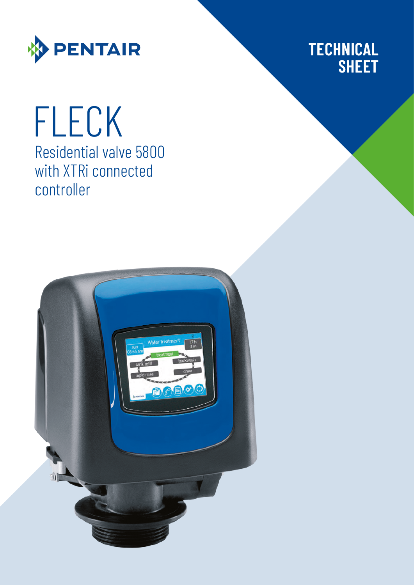

# **TECHNICAL SHEET**

# Residential valve 5800 with XTRi connected controller FLECK

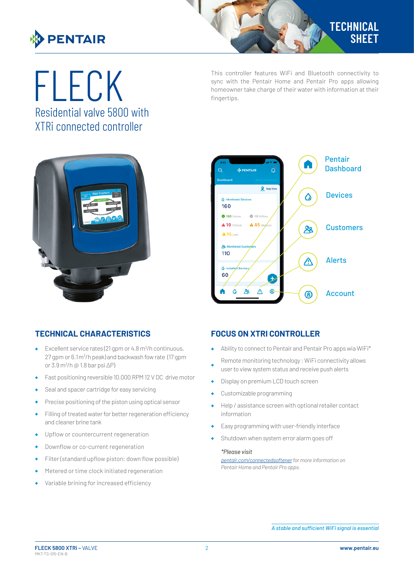

Residential valve 5800 with XTRi connected controller

This controller features WiFi and Bluetooth connectivity to<br>sync with the Pentair Home and Pentair Pro apps allowing<br>fineertins. sync with the Pentair Home and Pentair Pro apps allowing homeowner take charge of their water with information at their fingertips.





### **TECHNICAL CHARACTERISTICS**

- Excellent service rates (21 gpm or 4.8 m<sup>3</sup>/h continuous, 27 gpm or 6.1m<sup>3</sup>/h peak) and backwash fow rate (17 gpm or 3.9 m<sup>3</sup> /h @ 1.8 bar psi ∆P)
- Fast positioning reversible 10.000 RPM 12 V DC drive motor
- Seal and spacer cartridge for easy servicing
- Precise positioning of the piston using optical sensor  $\bullet$
- Filling of treated water for better regeneration efficiency and cleaner brine tank
- Upflow or countercurrent regeneration
- Downflow or co-current regeneration
- Filter (standard upflow piston; down flow possible)
- Metered or time clock initiated regeneration  $\bullet$
- Variable brining for increased efficiency

#### **FOCUS ON XTRI CONTROLLER**

- Ability to connect to Pentair and Pentair Pro apps wia WiFi\*  $\ddot{\bullet}$
- Remote monitoring technology : WiFi connectivity allows user to view system status and receive push alerts
- Display on premium LCD touch screen  $\bullet$
- Customizable programming
- Help / assistance screen with optional retailer contact information
- Easy programming with user-friendly interface  $\blacktriangle$
- Shutdown when system error alarm goes off

#### *\*Please visit*

*[pentair.com/connectedsoftener](https://www.pentair.com/connectedsoftener) for more information on Pentair Home and Pentair Pro apps.*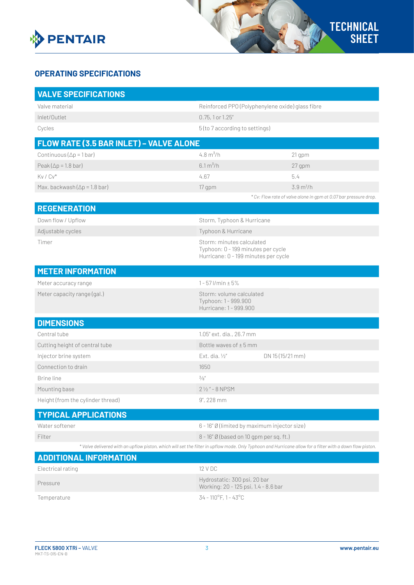

## **OPERATING SPECIFICATIONS**

| <b>VALVE SPECIFICATIONS</b>                                                                                                                               |                                                                                                         |                                                                  |
|-----------------------------------------------------------------------------------------------------------------------------------------------------------|---------------------------------------------------------------------------------------------------------|------------------------------------------------------------------|
| Valve material                                                                                                                                            | Reinforced PPO (Polyphenylene oxide) glass fibre                                                        |                                                                  |
| Inlet/Outlet                                                                                                                                              | 0.75, 1 or 1.25"                                                                                        |                                                                  |
| Cycles                                                                                                                                                    | 5 (to 7 according to settings)                                                                          |                                                                  |
| FLOW RATE (3.5 BAR INLET) - VALVE ALONE                                                                                                                   |                                                                                                         |                                                                  |
| Continuous ( $\Delta p = 1$ bar)                                                                                                                          | 4.8 $m^3/h$                                                                                             | 21 gpm                                                           |
| Peak ( $\Delta p = 1.8$ bar)                                                                                                                              | 6.1 m <sup>3</sup> /h                                                                                   | 27 gpm                                                           |
| $Kv/Cv^*$                                                                                                                                                 | 4.67                                                                                                    | 5.4                                                              |
| Max. backwash $(\Delta p = 1.8$ bar)                                                                                                                      | 17 gpm                                                                                                  | 3.9 m <sup>3</sup> /h                                            |
|                                                                                                                                                           |                                                                                                         | * Cv: Flow rate of valve alone in gpm at 0.07 bar pressure drop. |
| <b>REGENERATION</b>                                                                                                                                       |                                                                                                         |                                                                  |
| Down flow / Upflow                                                                                                                                        | Storm, Typhoon & Hurricane                                                                              |                                                                  |
| Adjustable cycles                                                                                                                                         | Typhoon & Hurricane                                                                                     |                                                                  |
| Timer                                                                                                                                                     | Storm: minutes calculated<br>Typhoon: 0 - 199 minutes per cycle<br>Hurricane: 0 - 199 minutes per cycle |                                                                  |
| <b>METER INFORMATION</b>                                                                                                                                  |                                                                                                         |                                                                  |
| Meter accuracy range                                                                                                                                      | $1 - 57$ l/min $\pm 5%$                                                                                 |                                                                  |
| Meter capacity range (gal.)                                                                                                                               | Storm: volume calculated<br>Typhoon: 1 - 999.900<br>Hurricane: 1 - 999.900                              |                                                                  |
| <b>DIMENSIONS</b>                                                                                                                                         |                                                                                                         |                                                                  |
| Central tube                                                                                                                                              | 1.05" ext. dia., 26.7 mm                                                                                |                                                                  |
| Cutting height of central tube                                                                                                                            | Bottle waves of $\pm$ 5 mm                                                                              |                                                                  |
| Injector brine system                                                                                                                                     | Ext. dia. 1/2"                                                                                          | DN 15 (15/21 mm)                                                 |
| Connection to drain                                                                                                                                       | 1650                                                                                                    |                                                                  |
| Brine line                                                                                                                                                | $\frac{3}{8}$ "                                                                                         |                                                                  |
| Mounting base                                                                                                                                             | $2\frac{1}{2}$ " - 8 NPSM                                                                               |                                                                  |
| Height (from the cylinder thread)                                                                                                                         | $9''$ , 228 mm                                                                                          |                                                                  |
| <b>TYPICAL APPLICATIONS</b>                                                                                                                               |                                                                                                         |                                                                  |
| Water softener                                                                                                                                            | 6 - 16" Ø (limited by maximum injector size)                                                            |                                                                  |
| Filter                                                                                                                                                    | 8 - 16" Ø (based on 10 gpm per sq. ft.)                                                                 |                                                                  |
| * Valve delivered with an upflow piston, which will set the filter in upflow mode. Only Typhoon and Hurricane allow for a filter with a down flow piston. |                                                                                                         |                                                                  |
| <b>ADDITIONAL INFORMATION</b>                                                                                                                             |                                                                                                         |                                                                  |
| Electrical rating                                                                                                                                         | 12 V DC                                                                                                 |                                                                  |
| Pressure                                                                                                                                                  | Hydrostatic: 300 psi, 20 bar<br>Working: 20 - 125 psi, 1.4 - 8.6 bar                                    |                                                                  |
| Temperature                                                                                                                                               | $34 - 110^{\circ}F$ , 1 - 43°C                                                                          |                                                                  |